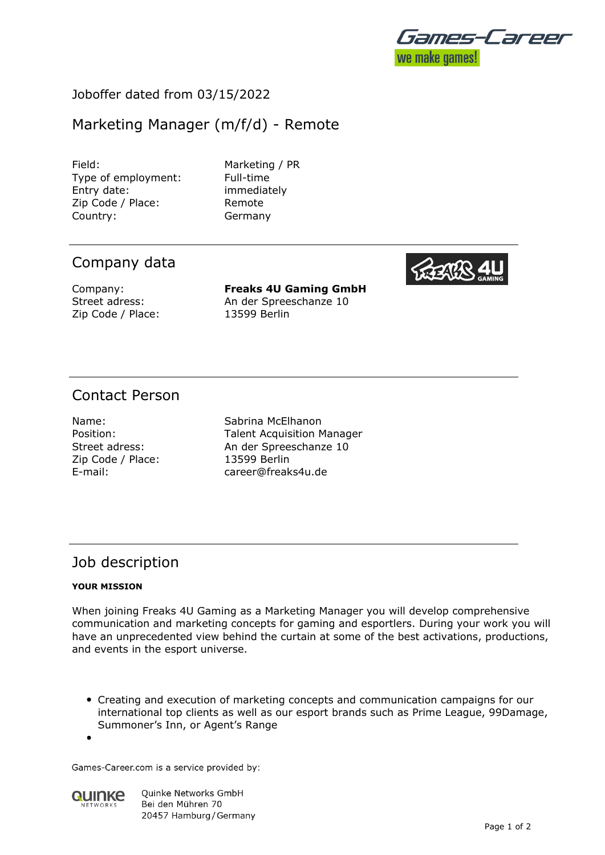

### Joboffer dated from 03/15/2022

# Marketing Manager (m/f/d) - Remote

Field: Marketing / PR Type of employment: Full-time Entry date: immediately Zip Code / Place: Remote Country: Germany

## Company data

Zip Code / Place: 13599 Berlin

Company: **Freaks 4U Gaming GmbH** Street adress: An der Spreeschanze 10

## Contact Person

Zip Code / Place: 13599 Berlin

Name: Sabrina McElhanon Position: Talent Acquisition Manager Street adress: An der Spreeschanze 10 E-mail: career@freaks4u.de

# Job description

#### **YOUR MISSION**

When joining Freaks 4U Gaming as a Marketing Manager you will develop comprehensive communication and marketing concepts for gaming and esportlers. During your work you will have an unprecedented view behind the curtain at some of the best activations, productions, and events in the esport universe.

Creating and execution of marketing concepts and communication campaigns for our international top clients as well as our esport brands such as Prime League, 99Damage, Summoner's Inn, or Agent's Range

Games-Career.com is a service provided by:



Quinke Networks GmbH Bei den Mühren 70 20457 Hamburg / Germany